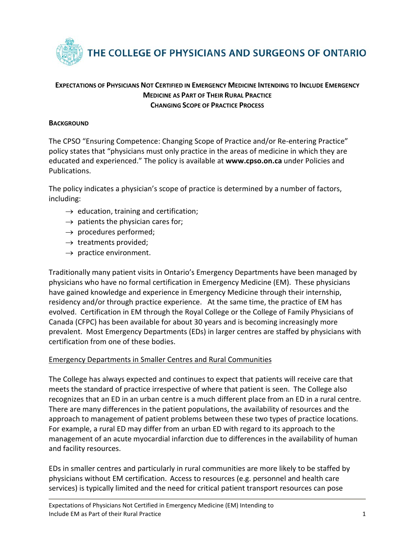

# **EXPECTATIONS OF PHYSICIANS NOT CERTIFIED IN EMERGENCY MEDICINE INTENDING TO INCLUDE EMERGENCY MEDICINE AS PART OF THEIR RURAL PRACTICE CHANGING SCOPE OF PRACTICE PROCESS**

### **BACKGROUND**

The CPSO "Ensuring Competence: Changing Scope of Practice and/or Re-entering Practice" policy states that "physicians must only practice in the areas of medicine in which they are educated and experienced." The policy is available at **[www.cpso.on.ca](http://www.cpso.on.ca/)** under Policies and Publications.

The policy indicates a physician's scope of practice is determined by a number of factors, including:

- $\rightarrow$  education, training and certification;
- $\rightarrow$  patients the physician cares for;
- $\rightarrow$  procedures performed;
- $\rightarrow$  treatments provided;
- $\rightarrow$  practice environment.

Traditionally many patient visits in Ontario's Emergency Departments have been managed by physicians who have no formal certification in Emergency Medicine (EM). These physicians have gained knowledge and experience in Emergency Medicine through their internship, residency and/or through practice experience. At the same time, the practice of EM has evolved. Certification in EM through the Royal College or the College of Family Physicians of Canada (CFPC) has been available for about 30 years and is becoming increasingly more prevalent. Most Emergency Departments (EDs) in larger centres are staffed by physicians with certification from one of these bodies.

## Emergency Departments in Smaller Centres and Rural Communities

The College has always expected and continues to expect that patients will receive care that meets the standard of practice irrespective of where that patient is seen. The College also recognizes that an ED in an urban centre is a much different place from an ED in a rural centre. There are many differences in the patient populations, the availability of resources and the approach to management of patient problems between these two types of practice locations. For example, a rural ED may differ from an urban ED with regard to its approach to the management of an acute myocardial infarction due to differences in the availability of human and facility resources.

EDs in smaller centres and particularly in rural communities are more likely to be staffed by physicians without EM certification. Access to resources (e.g. personnel and health care services) is typically limited and the need for critical patient transport resources can pose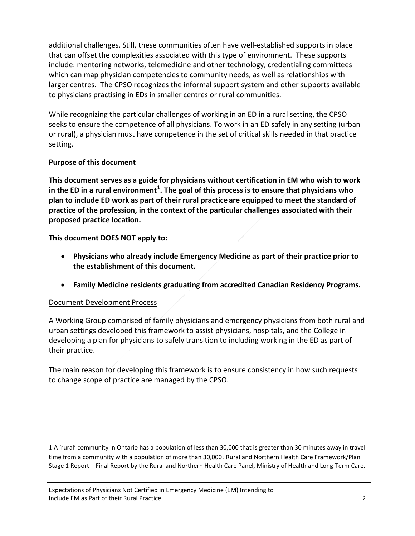additional challenges. Still, these communities often have well-established supports in place that can offset the complexities associated with this type of environment. These supports include: mentoring networks, telemedicine and other technology, credentialing committees which can map physician competencies to community needs, as well as relationships with larger centres. The CPSO recognizes the informal support system and other supports available to physicians practising in EDs in smaller centres or rural communities.

While recognizing the particular challenges of working in an ED in a rural setting, the CPSO seeks to ensure the competence of all physicians. To work in an ED safely in any setting (urban or rural), a physician must have competence in the set of critical skills needed in that practice setting.

# **Purpose of this document**

**This document serves as a guide for physicians without certification in EM who wish to work in the ED in a rural environment[1](#page-1-0) . The goal of this process is to ensure that physicians who plan to include ED work as part of their rural practice are equipped to meet the standard of practice of the profession, in the context of the particular challenges associated with their proposed practice location.**

**This document DOES NOT apply to:**

- **Physicians who already include Emergency Medicine as part of their practice prior to the establishment of this document.**
- **Family Medicine residents graduating from accredited Canadian Residency Programs.**

## Document Development Process

 $\overline{a}$ 

A Working Group comprised of family physicians and emergency physicians from both rural and urban settings developed this framework to assist physicians, hospitals, and the College in developing a plan for physicians to safely transition to including working in the ED as part of their practice.

The main reason for developing this framework is to ensure consistency in how such requests to change scope of practice are managed by the CPSO.

<span id="page-1-0"></span><sup>1</sup> A 'rural' community in Ontario has a population of less than 30,000 that is greater than 30 minutes away in travel time from a community with a population of more than 30,000: [Rural and Northern Health Care Framework/Plan](http://www.health.gov.on.ca/en/public/programs/ruralnorthern/docs/report_rural_northern_EN.pdf)  [Stage 1 Report –](http://www.health.gov.on.ca/en/public/programs/ruralnorthern/docs/report_rural_northern_EN.pdf) Final Report by the Rural and Northern Health Care Panel, Ministry of Health and Long-Term Care.

Expectations of Physicians Not Certified in Emergency Medicine (EM) Intending to Include EM as Part of their Rural Practice 2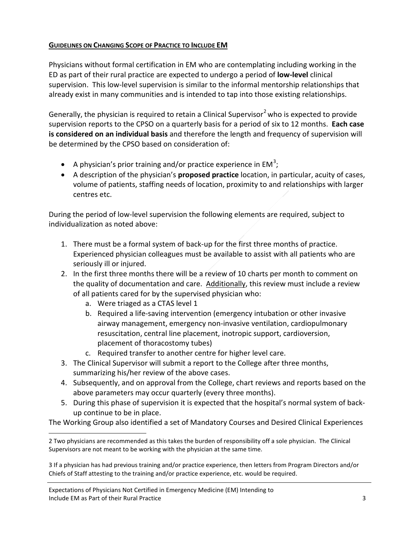## **GUIDELINES ON CHANGING SCOPE OF PRACTICE TO INCLUDE EM**

Physicians without formal certification in EM who are contemplating including working in the ED as part of their rural practice are expected to undergo a period of **low-level** clinical supervision. This low-level supervision is similar to the informal mentorship relationships that already exist in many communities and is intended to tap into those existing relationships.

Generally, the physician is required to retain a [Clinical Supervisor](http://www.cpso.on.ca/CPSO/media/documents/CPGs/Other/Guidelines-for-College-Directed-Clinical-Supervision.pdf)<sup>[2](#page-2-0)</sup> who is expected to provide supervision reports to the CPSO on a quarterly basis for a period of six to 12 months. **Each case is considered on an individual basis** and therefore the length and frequency of supervision will be determined by the CPSO based on consideration of:

- A physician's prior training and/or practice experience in EM<sup>[3](#page-2-1)</sup>;
- A description of the physician's **proposed practice** location, in particular, acuity of cases, volume of patients, staffing needs of location, proximity to and relationships with larger centres etc.

During the period of low-level supervision the following elements are required, subject to individualization as noted above:

- 1. There must be a formal system of back-up for the first three months of practice. Experienced physician colleagues must be available to assist with all patients who are seriously ill or injured.
- 2. In the first three months there will be a review of 10 charts per month to comment on the quality of documentation and care. Additionally, this review must include a review of all patients cared for by the supervised physician who:
	- a. Were triaged as a CTAS level 1
	- b. Required a life-saving intervention (emergency intubation or other invasive airway management, emergency non-invasive ventilation, cardiopulmonary resuscitation, central line placement, inotropic support, cardioversion, placement of thoracostomy tubes)
	- c. Required transfer to another centre for higher level care.
- 3. The Clinical Supervisor will submit a report to the College after three months, summarizing his/her review of the above cases.
- 4. Subsequently, and on approval from the College, chart reviews and reports based on the above parameters may occur quarterly (every three months).
- 5. During this phase of supervision it is expected that the hospital's normal system of backup continue to be in place.

The Working Group also identified a set of Mandatory Courses and Desired Clinical Experiences

<span id="page-2-0"></span> $\overline{a}$ 2 Two physicians are recommended as this takes the burden of responsibility off a sole physician. The Clinical Supervisors are not meant to be working with the physician at the same time.

<span id="page-2-1"></span><sup>3</sup> If a physician has had previous training and/or practice experience, then letters from Program Directors and/or Chiefs of Staff attesting to the training and/or practice experience, etc. would be required.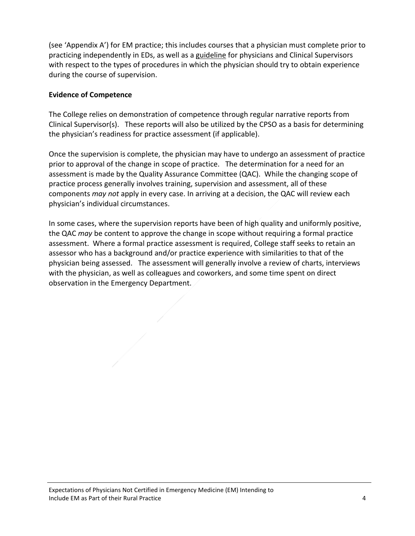(see 'Appendix A') for EM practice; this includes courses that a physician must complete prior to practicing independently in EDs, as well as a guideline for physicians and Clinical Supervisors with respect to the types of procedures in which the physician should try to obtain experience during the course of supervision.

### **Evidence of Competence**

The College relies on demonstration of competence through regular narrative reports from Clinical Supervisor(s). These reports will also be utilized by the CPSO as a basis for determining the physician's readiness for practice assessment (if applicable).

Once the supervision is complete, the physician may have to undergo an assessment of practice prior to approval of the change in scope of practice. The determination for a need for an assessment is made by the Quality Assurance Committee (QAC). While the changing scope of practice process generally involves training, supervision and assessment, all of these components *may not* apply in every case. In arriving at a decision, the QAC will review each physician's individual circumstances.

In some cases, where the supervision reports have been of high quality and uniformly positive, the QAC *may* be content to approve the change in scope without requiring a formal practice assessment. Where a formal practice assessment is required, College staff seeks to retain an assessor who has a background and/or practice experience with similarities to that of the physician being assessed. The assessment will generally involve a review of charts, interviews with the physician, as well as colleagues and coworkers, and some time spent on direct observation in the Emergency Department.